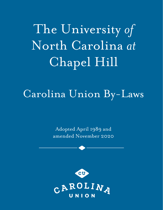The University *of*  North Carolina *at* Chapel Hill

# Carolina Union By-Laws

Adopted April 1989 and amended November 2020

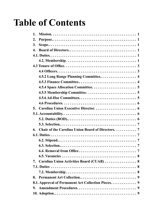# **Table of Contents**

| 1.                                                  |  |
|-----------------------------------------------------|--|
| $\overline{2}$ .                                    |  |
| 3.                                                  |  |
| $\overline{4}$ .                                    |  |
|                                                     |  |
|                                                     |  |
|                                                     |  |
|                                                     |  |
| 4.5.2 Long Range Planning Committee 4               |  |
|                                                     |  |
|                                                     |  |
|                                                     |  |
|                                                     |  |
|                                                     |  |
| 5.                                                  |  |
|                                                     |  |
|                                                     |  |
|                                                     |  |
| 6.                                                  |  |
|                                                     |  |
|                                                     |  |
|                                                     |  |
|                                                     |  |
|                                                     |  |
| Carolina Union Activities Board (CUAB)  8<br>7.     |  |
|                                                     |  |
|                                                     |  |
| 8.                                                  |  |
| 8.1. Approval of Permanent Art Collection Pieces. 9 |  |
|                                                     |  |
|                                                     |  |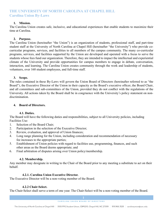# <span id="page-2-0"></span>**1. Mission.**

The Carolina Union creates safe, inclusive, and educational experiences that enable students to maximize their time at Carolina.

# **2. Purpose.**

The Carolina Union (hereinafter "the Union") is an organization of students, professional staff, and part-time student staff at the University of North Carolina at Chapel Hill (hereinafter "the University") who provide cocurricular programs, services, and facilities to all members of the campus community. The many co-curricular programs, services, and facilities supported by the Union are developed and operated with a focus to serve the students whose fees fund our organization. Therefore, they are intended to impact the intellectual and experiential climate of the University and provide opportunities for campus members to engage in debate, conversation, interaction, and learning. The Carolina Union creates community through the work and leadership of students, volunteers, over 160 student employees, and full-time staff.

# **3. Scope.**

The rules contained in these By-Laws will govern the Union Board of Directors (hereinafter referred to as "the Board"), the Executive Director of the Union in their capacity as the Board's executive officer, the Board Chair, and all committees and sub-committees of the Union, provided they do not conflict with the regulations of the University. All actions taken by the Board shall be in congruence with the University's policy statement on nondiscrimination.

# **4. Board of Directors.**

# **4.1. Duties.**

The Board will have the following duties and responsibilities, subject to all University policies, including Facilities Use:

- 1. Selection of the Board Chair;
- 2. Participation in the selection of the Executive Director;
- 3. Review, evaluation, and approval of Union finances;
- 4. Long range planning for the Union, including consideration and recommendation of necessary fee increases to the appropriate parties;
- 5. Establishment of Union policies with regard to facilities use, programming, finances, and such other areas as the Board deems appropriate; and
- 6. Final arbitration of disputes arising over Union policy/membership.

# **4.2. Membership.**

Any member may designate in writing to the Chair of the Board prior to any meeting a substitute to act on their behalf.

# **4.2.1. Carolina Union Executive Director.**

The Executive Director will be a non-voting member of the Board.

# **4.2.2 Chair-Select.**

The Chair-Select shall serve a term of one year. The Chair-Select will be a non-voting member of the Board.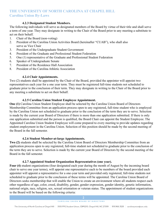#### **4.2.3 Designated Student Members.**

The following individuals will serve as designated members of the Board by virtue of their title and shall serve a term of one year. They may designate in writing to the Chair of the Board prior to any meeting a substitute to act on their behalf.

- 1. Chair of the Board (non-voting)
- 2. President of the Carolina Union Activities Board (hereinafter "CUAB"), who shall also serve as Vice Chair
- 3. President of the Undergraduate Student Government
- 4. President of the Graduate and Professional Student Federation
- 5. One (1) representative of the Graduate and Professional Student Federation
- 6. Speaker of Undergraduate Senate
- 7. President of the Residence Hall Association
- 8. President of the Carolina Athletic Association

#### **4.2.4 Chair Appointments.**

Two (2) students shall be appointed by the Chair of the Board, provided the appointer will appoint two representatives each year for a one year term. They must be registered full-time students not scheduled to graduate prior to the conclusion of their term. They may designate in writing to the Chair of the Board prior to any meeting a substitute to act on their behalf.

#### **4.2.5 Carolina Union Student Employee Appointment.**

**One (1)** Carolina Union Student Employee shall be selected by the Carolina Union Board of Directors Membership Committee from an application process open to any registered, full-time student who is employed by the Carolina Union not scheduled to graduate prior to the conclusion of the term they are to serve. Selection is made by the current year Board of Directors if there is more than one application submitted. If there is only one application submitted and the person is qualified, the Board Chair can appoint the Student Employee. The Appointed Carolina Union Student Employee will come prepared to every meeting to provide updates regarding student employment in the Carolina Union. Selection of this position should be made by the second meeting of the Board in the fall semester.

#### **4.2.6 Student Member-at-large Appointments.**

**Two (2)** students shall be selected by the Carolina Union Board of Directors Membership Committee from an application process open to any registered, full-time student not scheduled to graduate prior to the conclusion of the term they are to serve. Selection is made by the current year Board of Directors by the second meeting of the Board in the fall semester.

#### **4.2.7 Appointed Student Organization Representatives (one year).**

**Four (4)** student organizations (four designated each year during the month of August by the incoming board chair to serve one year terms), will appoint one representative each to be members of the board provided each appointer will appoint a representative for a one-year term and provided only registered, full-time students not scheduled to graduate prior to the conclusion of these terms will be appointed. The Carolina Union Board of Directors seeks membership that will enable the Union to create an environment where all students respect each other regardless of age, color, creed, disability, gender, gender expression, gender identity, genetic information, national origin, race, religion, sex, sexual orientation or veteran status. The appointment of student organizations to the Board will be based on the following criteria: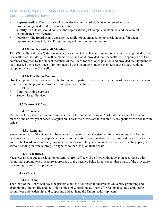- <span id="page-4-0"></span>• **Representation.** The Board should consider the number of students represented and the programming conducted by the organization.
- **Vitality.** The Board should consider the organizations past campus involvement and the amount of anticipated involvement.
- **Diversity.** The Board should consider the ability of an organization to speak on behalf of underrepresented voices in Union Programming and the campus community.

# **4.2.8 Faculty and Staff Members.**

**Two (2)** faculty and two (2) staff members (two appointed each year to serve one year terms) appointed by the Chancellor, or their designee, will be members of the Board, provided the Chancellor will appoint one of two nominees proposed by the student members of the Board for each open position, and provided faculty members may succeed themselves once, if re-nominated by the incumbent student members of the Board, without reappointment by the Chancellor.

# **4.2.9 The Union Tenants.**

**One (1)** representative from each of the following Departments shall serve on the board for as long as they are tenants within the physical Carolina Union space and facilities:

- A.P.P.L.E.S
- Carolina Dining Services
- Student Legal Services

# **4.3 Tenure of Office.**

# **4.3.2 General.**

Members of the Board will serve from the close of the annual meeting in April until the close of the annual meeting one or two years hence as applicable, unless their terms are interrupted by resignation or removal from office.

# **4.3.3 Removal.**

Student members of the Board will be removed on termination of registered, full- time status. Any faculty, designated member, and any appointed student organization representative may be removed by a three-fourths vote of the Board on a motion by any member in the event they have missed three or more meetings per year without sending an official proxy (designated to the Chair) on their behalf.

# **4.3.4 Vacancies.**

Vacancies arising due to resignation or removal from office will be filled without delay in accordance with the normal appointment procedure appropriate to the vacancy being filled, except those parts of the procedure concerning the time of appointment.

# **4.4 Officers.**

# **4.4.2 Chair.**

The Chair of the Board will have the principle duties of outreach to the greater University promoting and championing student life and the Union philosophy, presiding at Board of Directors meetings, appointing committees and leadership, and supporting and advising the Union leadership team.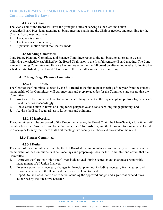# **4.4.3 Vice Chair.**

<span id="page-5-0"></span>The Vice Chair of the Board will have the principle duties of serving as the Carolina Union Activities Board President, attending all board meetings, assisting the Chair as needed, and presiding for the Chair at Board meetings when,

- 1. The Chair is absent,
- 2. The Chair wants to debate,
- 3. A personal motion about the Chair is made.

# **4.5 Standing Committees.**

Long Range Planning Committee and Finance Committee report to the full board on alternating weeks, following the schedule established by the Board Chair prior to the first fall semester Board meeting. The Long Range Planning Committee and Finance Committee report to the full board on alternating weeks, following the schedule established by the Board Chair prior to the first fall semester Board meeting.

# **4.5.2 Long Range Planning Committee.**

# **4.5.2.1 Duties.**

The Chair of the Committee, elected by the full Board at the first regular meeting of the year from the student membership of the Committee, will call meetings and prepare agendas for the Committee and ensure that the **Committee** 

- 1. Works with the Executive Director to anticipate change be it in the physical plant, philosophy, or services - and plans for it accordingly;
- 2. Looks at the Union in terms of a long range perspective and considers long-range planning; and
- 3. Advises the Board regularly as to its actions and opinions.

#### **4.5.2.2 Membership.**

The Committee will be composed of the Executive Director, the Board Chair, the Chair-Select, a full- time staff member from the Carolina Union Event Services, the CUAB Advisor, and the following four members elected to a one-year term by the Board at its first meeting: two faculty members and two student members.

#### **4.5.3 Finance Committee.**

## **4.5.3.1 Duties.**

The Chair of the Committee, elected by the full Board at the first regular meeting of the year from the student membership of the Committee, will call meetings and prepare agendas for the Committee and ensure that the Committee

- 1. Approves the Carolina Union and CUAB budgets each Spring semester and guarantees responsible management of all Union finances;
- 2. Forecasts potentially necessary changes in financial planning, including necessary fee increases, and recommends them to the Board and the Executive Director; and
- 3. Reports to the Board matters of concern including the approved budget and significant expenditures authorized by the Executive Director.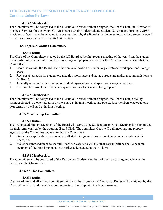# **4.5.3.2 Membership.**

<span id="page-6-0"></span>The Committee will be composed of the Executive Director or their designee, the Board Chair, the Director of Business Services for the Union, CUAB Finance Chair, Undergraduate Student Government President, GPSF President, a faculty member elected to a one-year term by the Board at its first meeting, and two student elected to one-year terms by the Board at its first meeting.

# **4.5.4 Space Allocation Committee.**

# **4.5.4.1 Duties.**

The Chair of the Committee, elected by the full Board at the first regular meeting of the year from the student membership of the Committee, will call meetings and prepare agendas for the Committee and ensure that the Committee

- 1. Coordinates with the Board Chair the annual allocation of student organizational workspace and storage space;
- 2. Reviews all appeals for student organization workspace and storage space and makes recommendations to the Board;
- 3. Annually reviews the designation of student organization workspace and storage space; and
- 4. Reviews the current use of student organization workspace and storage space.

# **4.5.4.2 Membership.**

The Committee will be composed of the Executive Director or their designee, the Board Chair, a faculty member elected to a one-year term by the Board at its first meeting, and two student members elected to oneyear terms by the Board at its first meeting.

# **4.5.5 Membership Committee.**

# **4.5.5.1 Duties.**

The Designated Student Members of the Board will serve as the Student Organization Membership Committee for their term, chaired by the outgoing Board Chair. The committee Chair will call meetings and prepare agendas for the Committee and ensure that the Committee:

- 1. Oversees an application process where all student organizations can seek to become members of the Board; and
- 2. Makes recommendations to the full Board for vote as to which student organizations should become members of the Board pursuant to the criteria delineated in the By-laws.

#### **4.5.5.2 Membership.**

The Committee will be composed of the Designated Student Members of the Board, outgoing Chair of the Board, and the Chair-select.

#### **4.5.6 Ad-Hoc Committees.**

# **4.5.6.1 Duties.**

Creation of any and all ad-hoc committees will be at the discretion of The Board. Duties will be laid out by the Chair of the Board and the ad-hoc committee in partnership with the Board members.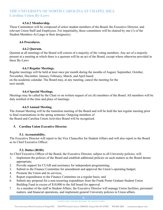#### **4.5.6.2 Membership.**

<span id="page-7-0"></span>These Committees will be composed of select student members of the Board, the Executive Director, and relevant Union Staff and Employees. For impartiality, these committees will be chaired by one (1) of the Student Members-At-Large or their designee(s).

## **4.6 Procedures.**

# **4.6.2 Quorum.**

Quorum at all meetings of the Board will consist of a majority of the voting members. Any act of a majority present at a meeting at which there is a quorum will be an act of the Board, except where otherwise provided in these By-Laws

# **4.6.3 Regular Meetings.**

Regular meetings will be held at least once per month during the months of August, September, October, November, December, January, February, March, and April based on the academic calendar. The Board may, at any meeting, cancel the meeting for the next month.

# **4.6.4 Special Meetings.**

Meetings may be called by the Chair or on written request of six (6) members of the Board. All members will be duly notified of the time and place of meetings.

# **4.6.5 Annual Meeting.**

The Annual Meeting will be the transition meeting of the Board and will be held the last regular meeting prior to final examinations in the spring semester. Outgoing members of the Board and Carolina Union Activities Board will be recognized.

# **5. Carolina Union Executive Director.**

# **5.1. Accountability.**

The Executive Director will report to the Vice Chancellor for Student Affairs and will also report to the Board as its Chief Executive Officer.

# **5.2. Duties (BOD).**

As Chief Executive Officer of the Board, the Executive Director, subject to all University policies, will:

- 1. Implement the policies of the Board and establish additional policies on such matters as the Board deems appropriate;
- 2. Provide support for CUAB and assistance for independent programming;
- 3. Submit to the Finance Committee for amendment and approval the Union's operating budget;
- 4. Promote the Union and its services;
- 5. Report expenditures to the Finance Committee on a regular basis; and
- 6. Submit any proposal for a non-recurring expenditure from the Frank Porter Graham Student Union Building Fund in excess of \$10,000 to the full board for approval.
- 7. As a member of the staff in Student Affairs, the Executive Director will manage Union facilities, personnel matters, and financial operations, and implement general University policies in Union affairs.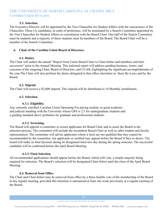### **5.3. Selection.**

<span id="page-8-0"></span>The Executive Director will be appointed by the Vice Chancellor for Student Affairs with the concurrence of the Chancellor. Three (3) candidates, in order of preference, will be nominated by a Search Committee appointed by the Vice Chancellor for Student Affairs in consultation with the Board Chair. One half of the Search Committee must be students and a majority of these students must be members of the Board. The Board Chair will be a member of the Search Committee.

#### **6. Chair of the Carolina Union Board of Directors.**

#### **6.1. Duties.**

The Chair will author the annual "Report from Union Board Chair to Chair-Select and members and their successors" prior to the Annual Meeting. This informal report will address pending business, issues, and concerns of the outgoing Chair, Board of Directors, and CUAB, highlighting the significant accomplishments of the year.The Chair will also perform the duties delegated to that office elsewhere in these By-Laws and by the Board.

#### **6.2. Stipend.**

The Chair will receive a \$2,000 stipend. This stipend will be distributed in 10 Monthly installments.

#### **6.3. Selection.**

#### **6.3.1. Eligibility.**

Any currently enrolled, Carolina Union Operating Fee paying student, in good academic and judicial standing with the University whose GPA is 2.5 for undergraduate students and a grading standard above probation for graduate and professional students.

#### **6.3.2. Screening.**

The Board will appoint a committee to screen applicants for Board Chair and to assist the Board in the selection process. The committee will include the incumbent Board Chair as well as other student and faculty representation. The committee will advise applicants whom it feels are not qualified that they cannot be recommended by the committee, but applicants so notified may appear before the Board if they so desire. The board will make its final decision during its designated interview day during the spring semester. The successful candidate will be confirmed before the April Board Meeting.

#### **6.3.3. Final Selection.**

All recommended applications should appear before the Board, which will vote, a simple majority being required for selection. The Board's selection will be designated Chair-Select until the close of the April Board Meeting.

#### **6.4. Removal from Office**

The Chair and Chair-Select may be removed from office by a three-fourths vote of the membership of the Board at any regular meeting, provided this intention is announced at least one week previously at a regular meeting of the Board.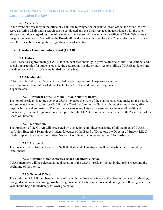#### **6.5. Vacancies**

<span id="page-9-0"></span>In the event of a vacancy in the office of Chair due to resignation or removal from office, the Vice Chair will serve as Acting Chair until a search can be conducted and the Chair replaced in accordance with the rules above except those regarding time of selection. In the event of a vacancy in the office of Chair-Select due to resignation or removal from office the Boardwill conduct a search to replace the Chair-Select in accordance with the rules above except those regarding time of selection.

#### **7. Carolina Union Activities Board (CUAB)**

#### **7.1. Duties**

CUAB receives approximately \$350,000 in student fees annually to provide diverse cultural, educational and social opportunities for students outside the classroom. It is the primary responsibility of CUAB to determine the direction and focus of events funded by these fees.

#### **7.2. Membership**

CUAB will be led by the President of CUAB and composed of chairpersons, each of who organizes a committee of student volunteers to select and produce programs in a specific area.

#### **7.2.1. President of the Carolina Union Activities Board.**

The job of president is to preside over CUAB, oversee the work of the chairpersons who make up the board, and serve as the ambassador for CUAB to the Carolina Community. Such a role requires much time, effort, responsibility, and enthusiasm. The president wears many hats and is essential to the overall health and functionality of a vital organization to campus life. The CUAB Presidentwill also serve as the Vice Chair of the Board of Directors.

#### **7.2.1.1. Selection.**

The President of the CUAB will beselected by a selection committee consisting of all members of CUAB, the Union Executive Team, three student delegates of the Board of Directors, the Director of Student Life & Leadership and the Student Activities Program Coordinator who serves as the CUAB Advisor.

# **7.2.1.2. Stipend.**

The President of CUAB will receive a \$2,000.00 stipend. This stipend will be distributed in 10 monthly installments.

#### **7.2.2. Carolina Union Activities Board Member Selection.**

CUAB members will be selected at the discretion of the CUAB President-Select in the spring preceding the beginning of their term.

#### **7.2.3. Term of Office.**

The confirmed CUAB members will take office with the President-Select at the close of the Annual Meeting, though discussions concerning possible programs and activities to be presented during the following academic year should begin immediately following selection.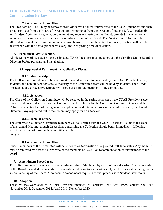#### **7.2.4. Removal from Office**

<span id="page-10-0"></span>The President of CUAB may be removed from office with a three-fourths vote of the CUAB members and then a majority vote from the Board of Directors following input from the Director of Student Life & Leadership and Student Activities Program Coordinator at any regular meeting of the Board, provided this intention is announced at least one week previous to a regular meeting of the Board. The President of CUAB will be allowed to present their position but must recuse themselves from the vote. If removed, position will be filled in accordance with the above procedures except those regarding time of selection.

#### **8. Permanent Art Collection.**

All pieces of work selected by the designated CUAB President must be approved the Carolina Union Board of Directors before purchase and installation.

#### **8.1. Approval of Permanent Art Collection Pieces.**

#### **8.1.1. Membership.**

The Collection Committee will be composed of a student Chair to be named by the CUAB President-select, students, and non-student advisors. A majority of the Committee seats will be held by students. The CUAB President and the Executive Director will serve as ex-officio members of the Committee.

#### **8.1.2. Selection.**

The Chair of the Collection Committee will be selected in the spring semester by the CUAB President-select. Student and non-student seats on the Committee will be chosen by the Collection Committee Chair and the CUAB President-select following an open application and interview process and confirmation by the Board of Directors. Any registered, full-time student may apply for an interview.

#### **8.1.3. Term of Office.**

The confirmed Collection Committee members will take office with the CUAB President-Select at the close of the Annual Meeting, though discussions concerning the Collection should begin immediately following selection. Length of term on the committee will be one year.

#### **8.1.4. Removal from Office.**

Student members of the Committee will be removed on termination of registered, full-time status. Any member may be removed by a three-fourths vote of the members of CUAB on recommendation of any member of the board.

#### **9. Amendment Procedures.**

These By-Laws may be amended at any regular meeting of the Board by a vote of three-fourths of the membership of the Board, provided the amendment was submitted in writing at least one (1) week previously at a regular or special meeting of the Board. Membership amendments require a formal process with Student Government.

#### **10. Adoption.**

These by-laws were adopted in April 1989 and amended in: February 1990, April 1999, January 2007, and November 2011, December 2014, April 2016, November 2020.